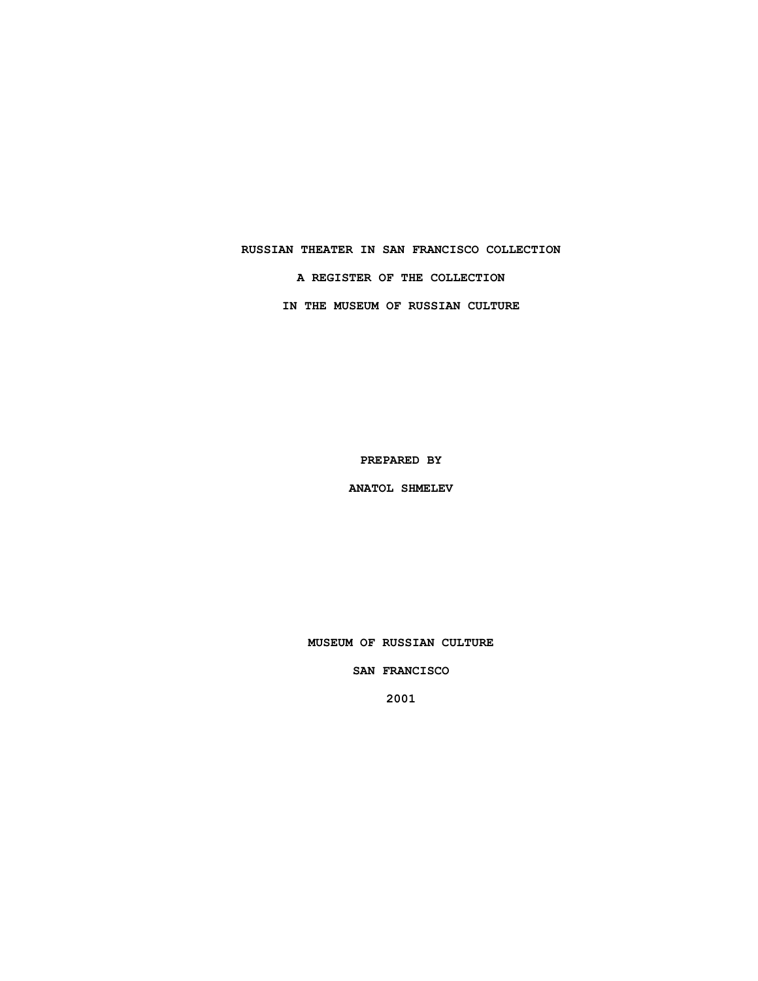# **RUSSIAN THEATER IN SAN FRANCISCO COLLECTION A REGISTER OF THE COLLECTION IN THE MUSEUM OF RUSSIAN CULTURE**

**PREPARED BY**

**ANATOL SHMELEV**

**MUSEUM OF RUSSIAN CULTURE**

**SAN FRANCISCO**

**2001**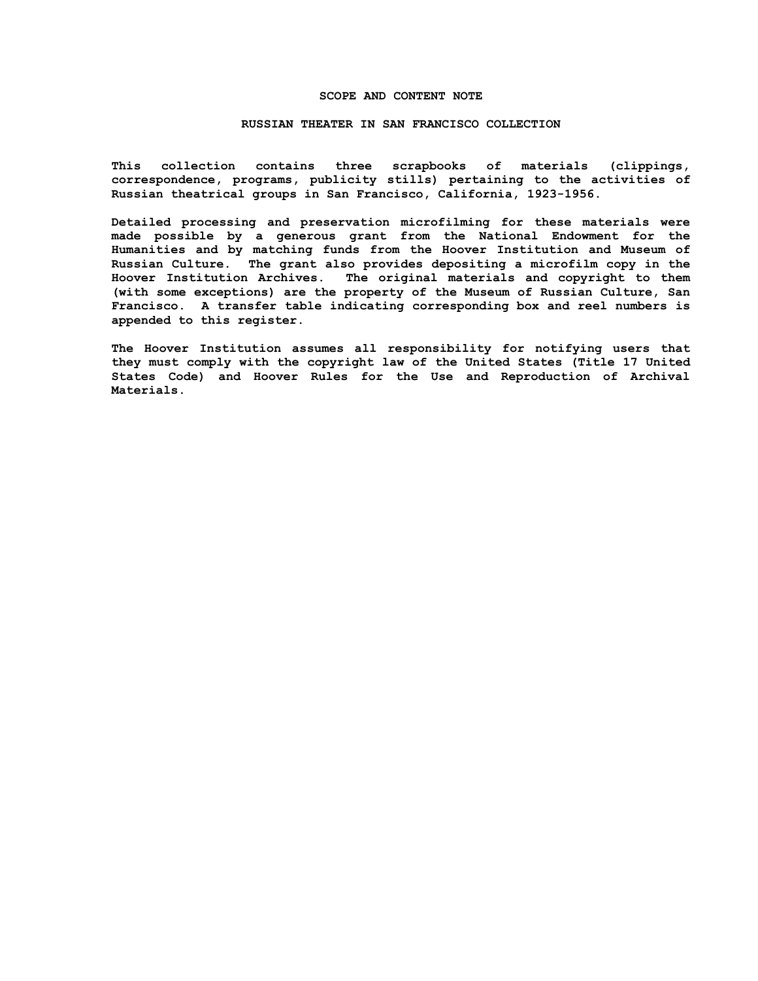## **SCOPE AND CONTENT NOTE**

## **RUSSIAN THEATER IN SAN FRANCISCO COLLECTION**

**This collection contains three scrapbooks of materials (clippings, correspondence, programs, publicity stills) pertaining to the activities of Russian theatrical groups in San Francisco, California, 1923-1956.**

**Detailed processing and preservation microfilming for these materials were made possible by a generous grant from the National Endowment for the Humanities and by matching funds from the Hoover Institution and Museum of Russian Culture. The grant also provides depositing a microfilm copy in the Hoover Institution Archives. The original materials and copyright to them (with some exceptions) are the property of the Museum of Russian Culture, San Francisco. A transfer table indicating corresponding box and reel numbers is appended to this register.**

**The Hoover Institution assumes all responsibility for notifying users that they must comply with the copyright law of the United States (Title 17 United States Code) and Hoover Rules for the Use and Reproduction of Archival Materials.**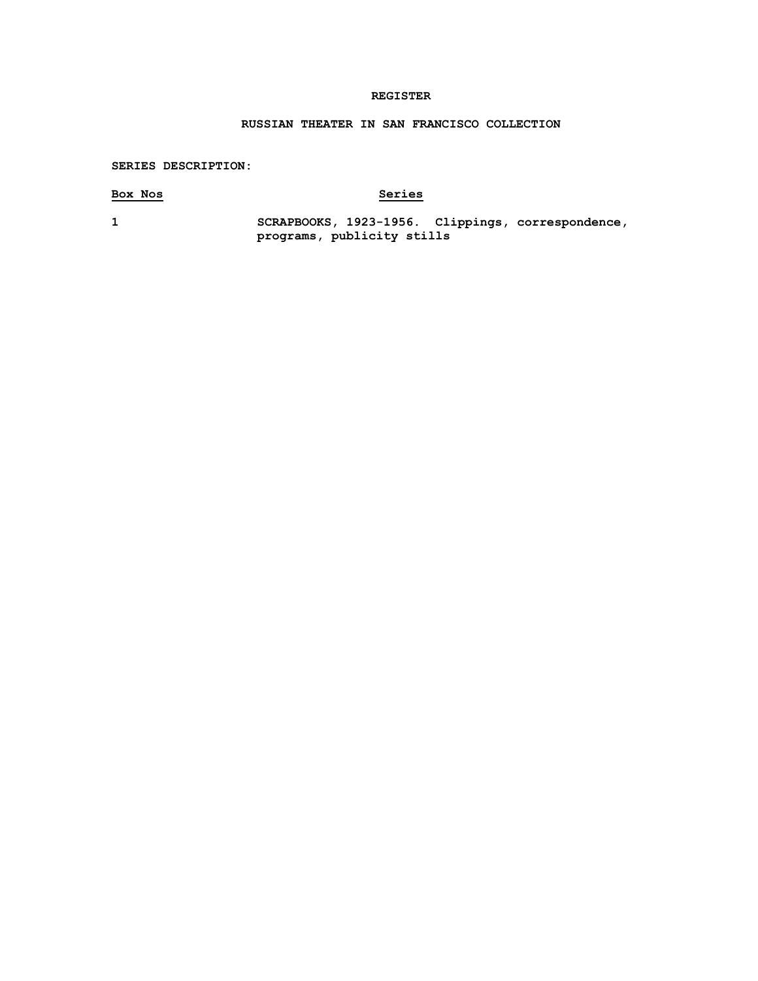# **REGISTER**

# **RUSSIAN THEATER IN SAN FRANCISCO COLLECTION**

# **SERIES DESCRIPTION:**

# **Box Nos Series**

**1 SCRAPBOOKS, 1923-1956. Clippings, correspondence, programs, publicity stills**